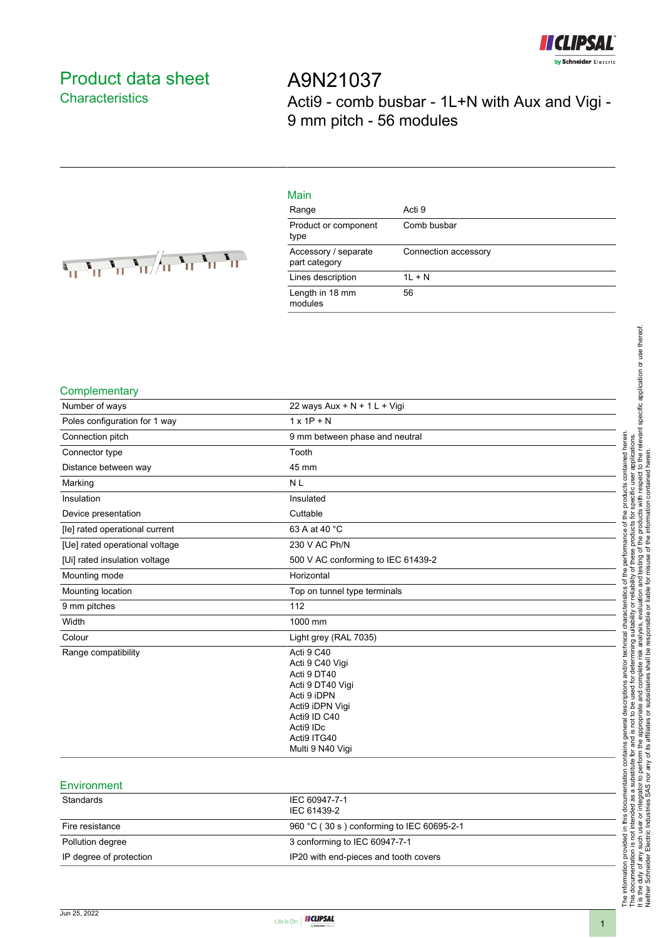

# <span id="page-0-0"></span>Product data sheet **Characteristics**

A9N21037 Acti9 - comb busbar - 1L+N with Aux and Vigi - 9 mm pitch - 56 modules

| $\frac{1}{\sqrt{2}}\frac{1}{\sqrt{2}}\frac{1}{\sqrt{2}}\frac{1}{\sqrt{2}}\frac{1}{\sqrt{2}}\frac{1}{\sqrt{2}}\frac{1}{\sqrt{2}}\frac{1}{\sqrt{2}}\frac{1}{\sqrt{2}}\frac{1}{\sqrt{2}}\frac{1}{\sqrt{2}}\frac{1}{\sqrt{2}}\frac{1}{\sqrt{2}}\frac{1}{\sqrt{2}}\frac{1}{\sqrt{2}}\frac{1}{\sqrt{2}}\frac{1}{\sqrt{2}}\frac{1}{\sqrt{2}}\frac{1}{\sqrt{2}}\frac{1}{\sqrt{2}}\frac{1}{\sqrt{2}}\frac{1}{\sqrt{2}}$ |  |
|----------------------------------------------------------------------------------------------------------------------------------------------------------------------------------------------------------------------------------------------------------------------------------------------------------------------------------------------------------------------------------------------------------------|--|
|                                                                                                                                                                                                                                                                                                                                                                                                                |  |

| Main                                  |                      |
|---------------------------------------|----------------------|
| Range                                 | Acti 9               |
| Product or component<br>type          | Comb busbar          |
| Accessory / separate<br>part category | Connection accessory |
| Lines description                     | $1L + N$             |
| Length in 18 mm<br>modules            | 56                   |

#### **Complementary**

| Number of ways                 | 22 ways Aux + N + 1 L + Vigi                                                                                                                                       |
|--------------------------------|--------------------------------------------------------------------------------------------------------------------------------------------------------------------|
| Poles configuration for 1 way  | $1 \times 1P + N$                                                                                                                                                  |
| Connection pitch               | 9 mm between phase and neutral                                                                                                                                     |
| Connector type                 | Tooth                                                                                                                                                              |
| Distance between way           | 45 mm                                                                                                                                                              |
| Marking                        | <b>NL</b>                                                                                                                                                          |
| Insulation                     | Insulated                                                                                                                                                          |
| Device presentation            | Cuttable                                                                                                                                                           |
| [le] rated operational current | 63 A at 40 °C                                                                                                                                                      |
| [Ue] rated operational voltage | 230 V AC Ph/N                                                                                                                                                      |
| [Ui] rated insulation voltage  | 500 V AC conforming to IEC 61439-2                                                                                                                                 |
| Mounting mode                  | Horizontal                                                                                                                                                         |
| Mounting location              | Top on tunnel type terminals                                                                                                                                       |
| 9 mm pitches                   | 112                                                                                                                                                                |
| Width                          | 1000 mm                                                                                                                                                            |
| Colour                         | Light grey (RAL 7035)                                                                                                                                              |
| Range compatibility            | Acti 9 C40<br>Acti 9 C40 Vigi<br>Acti 9 DT40<br>Acti 9 DT40 Vigi<br>Acti 9 iDPN<br>Acti9 iDPN Vigi<br>Acti9 ID C40<br>Acti9 IDc<br>Acti9 ITG40<br>Multi 9 N40 Vigi |
| Environment                    |                                                                                                                                                                    |

| <b>EUVILOUITIELIL</b>   |                                           |
|-------------------------|-------------------------------------------|
| Standards               | IEC 60947-7-1<br>IEC 61439-2              |
| Fire resistance         | 960 °C (30 s) conforming to IEC 60695-2-1 |
| Pollution degree        | 3 conforming to IEC 60947-7-1             |
| IP degree of protection | IP20 with end-pieces and tooth covers     |